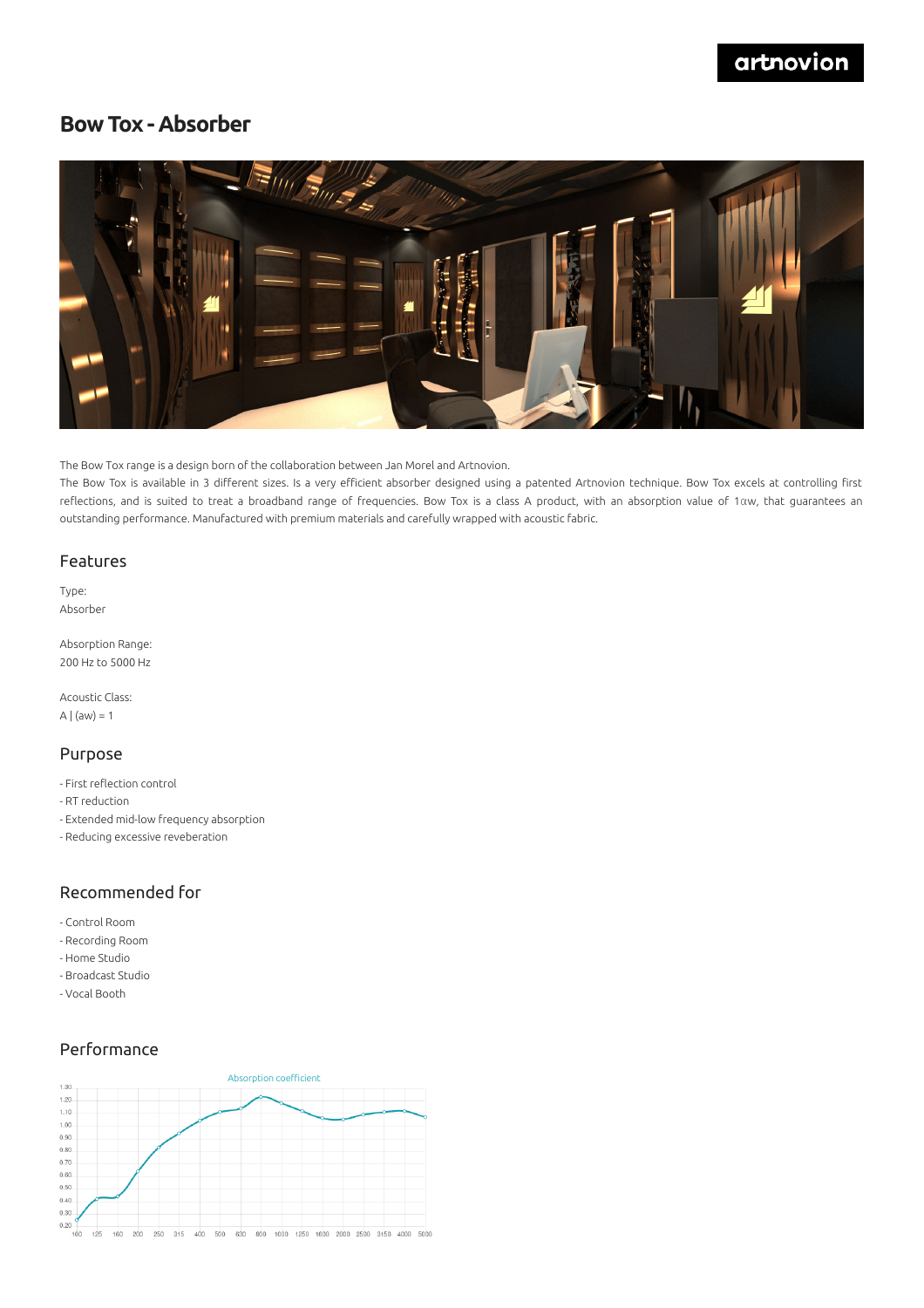## **Bow Tox - Absorber**



The Bow Tox range is a design born of the collaboration between Jan Morel and Artnovion.

The Bow Tox is available in 3 different sizes. Is a very efficient absorber designed using a patented Artnovion technique. Bow Tox excels at controlling first reflections, and is suited to treat a broadband range of frequencies. Bow Tox is a class A product, with an absorption value of 1αw, that guarantees an outstanding performance. Manufactured with premium materials and carefully wrapped with acoustic fabric.

#### Features

Type: Absorber

Absorption Range: 200 Hz to 5000 Hz

Acoustic Class: A  $|$  (aw) = 1

#### Purpose

- First reflection control
- RT reduction
- Extended mid-low frequency absorption
- Reducing excessive reveberation

#### Recommended for

- Control Room
- Recording Room
- Home Studio
- Broadcast Studio
- Vocal Booth

### Performance

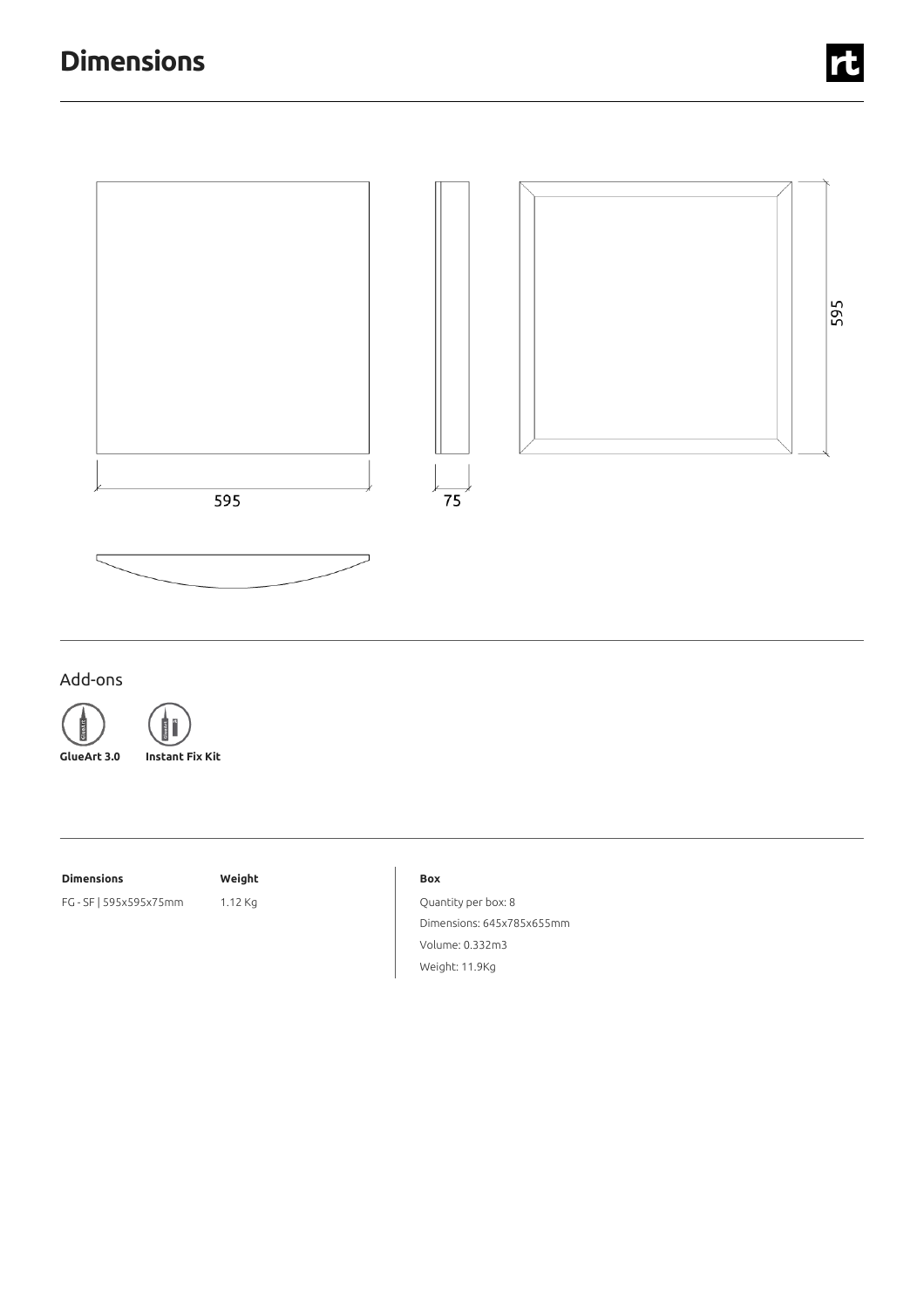

## Add-ons

GlueArt

GlueArt

**GlueArt 3.0 Instant Fix Kit**

## **Dimensions Weight**

FG - SF | 595x595x75mm 1.12 Kg

#### **Box**

Quantity per box: 8 Dimensions: 645x785x655mm Volume: 0.332m3 Weight: 11.9Kg